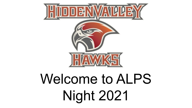

# Welcome to ALPS Night 2021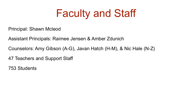# Faculty and Staff

Principal: Shawn Mcleod

Assistant Principals: Raimee Jensen & Amber Zdunich

Counselors: Amy Gibson (A-G), Javan Hatch (H-M), & Nic Hale (N-Z)

47 Teachers and Support Staff

753 Students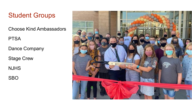### Student Groups

Choose Kind Ambassadors

**PTSA** 

Dance Company

Stage Crew

NJHS

SBO

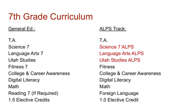# 7th Grade Curriculum

#### General Ed.:

T.A. Science 7 Language Arts 7 Utah Studies Fitness 7 College & Career Awareness Digital Literacy Math Reading 7 (If Required) 1.5 Elective Credits

#### ALPS Track:

T.A. Science 7 ALPS Language Arts ALPS Utah Studies ALPS Fitness College & Career Awareness Digital Literacy Math Foreign Language 1.0 Elective Credit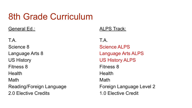# 8th Grade Curriculum

General Ed.:

T.A. Science 8 Language Arts 8 US History Fitness 8 Health Math Reading/Foreign Language 2.0 Elective Credits

#### ALPS Track:

T.A. Science ALPS Language Arts ALPS US History ALPS Fitness 8 Health Math Foreign Language Level 2 1.0 Elective Credit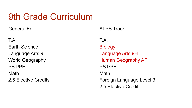# 9th Grade Curriculum

General Ed.:

T.A. Earth Science Language Arts 9 World Geography PST/PE Math 2.5 Elective Credits

#### ALPS Track:

T.A. Biology Language Arts 9H Human Geography AP PST/PE Math Foreign Language Level 3 2.5 Elective Credit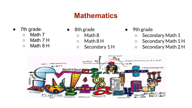### **Mathematics**

- 7th grade:
	- Math 7
	- $\circ$  Math 7 H
	- Math 8 H
- 8th grade
	- Math 8
	- $\circ$  Math 8 H
	- Secondary 1 H
- 9th grade
	- Secondary Math 1
	- Secondary Math 1 H
	- Secondary Math 2 H

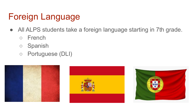# Foreign Language

- All ALPS students take a foreign language starting in 7th grade.
	- French
	- Spanish
	- Portuguese (DLI)





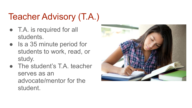# Teacher Advisory (T.A.)

- T.A. is required for all students.
- Is a 35 minute period for students to work, read, or study.
- The student's T.A. teacher serves as an advocate/mentor for the student.

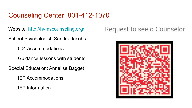### Counseling Center 801-412-1070

Website: <http://hvmscounseling.org/>

School Psychologist: Sandra Jacobs

504 Accommodations

Guidance lessons with students

Special Education: Annelise Bagget

IEP Accommodations

IEP Information

### Request to see a Counselor